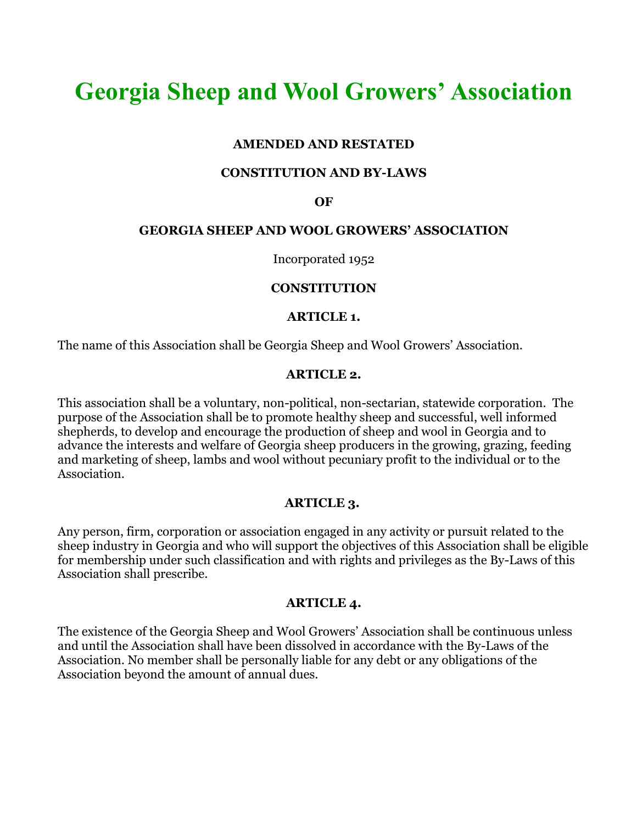# **Georgia Sheep and Wool Growers' Association**

## **AMENDED AND RESTATED**

#### **CONSTITUTION AND BY-LAWS**

#### **OF**

#### **GEORGIA SHEEP AND WOOL GROWERS' ASSOCIATION**

Incorporated 1952

#### **CONSTITUTION**

#### **ARTICLE 1.**

The name of this Association shall be Georgia Sheep and Wool Growers' Association.

#### **ARTICLE 2.**

This association shall be a voluntary, non-political, non-sectarian, statewide corporation. The purpose of the Association shall be to promote healthy sheep and successful, well informed shepherds, to develop and encourage the production of sheep and wool in Georgia and to advance the interests and welfare of Georgia sheep producers in the growing, grazing, feeding and marketing of sheep, lambs and wool without pecuniary profit to the individual or to the Association.

#### **ARTICLE 3.**

Any person, firm, corporation or association engaged in any activity or pursuit related to the sheep industry in Georgia and who will support the objectives of this Association shall be eligible for membership under such classification and with rights and privileges as the By-Laws of this Association shall prescribe.

#### **ARTICLE 4.**

The existence of the Georgia Sheep and Wool Growers' Association shall be continuous unless and until the Association shall have been dissolved in accordance with the By-Laws of the Association. No member shall be personally liable for any debt or any obligations of the Association beyond the amount of annual dues.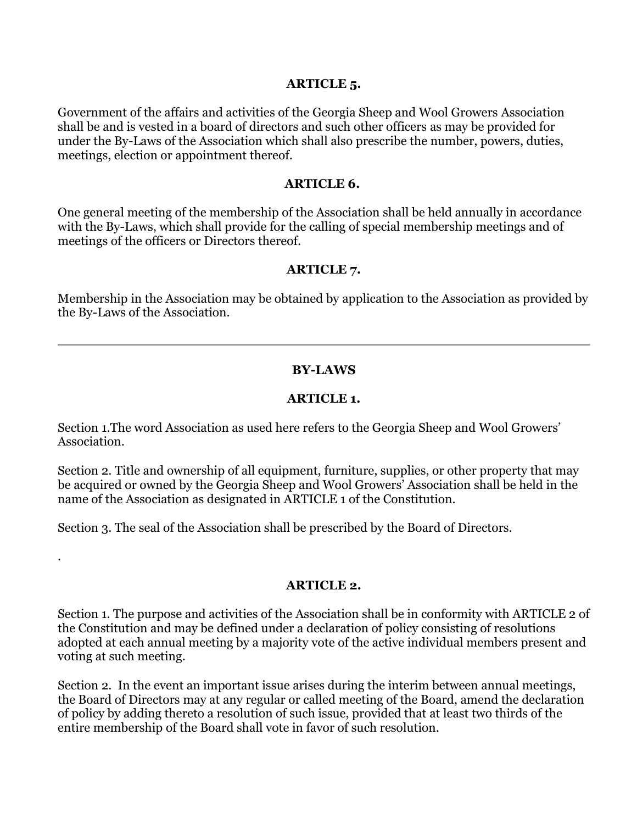#### **ARTICLE 5.**

Government of the affairs and activities of the Georgia Sheep and Wool Growers Association shall be and is vested in a board of directors and such other officers as may be provided for under the By-Laws of the Association which shall also prescribe the number, powers, duties, meetings, election or appointment thereof.

#### **ARTICLE 6.**

One general meeting of the membership of the Association shall be held annually in accordance with the By-Laws, which shall provide for the calling of special membership meetings and of meetings of the officers or Directors thereof.

## **ARTICLE 7.**

Membership in the Association may be obtained by application to the Association as provided by the By-Laws of the Association.

## **BY-LAWS**

## **ARTICLE 1.**

Section 1.The word Association as used here refers to the Georgia Sheep and Wool Growers' Association.

Section 2. Title and ownership of all equipment, furniture, supplies, or other property that may be acquired or owned by the Georgia Sheep and Wool Growers' Association shall be held in the name of the Association as designated in ARTICLE 1 of the Constitution.

Section 3. The seal of the Association shall be prescribed by the Board of Directors.

.

## **ARTICLE 2.**

Section 1. The purpose and activities of the Association shall be in conformity with ARTICLE 2 of the Constitution and may be defined under a declaration of policy consisting of resolutions adopted at each annual meeting by a majority vote of the active individual members present and voting at such meeting.

Section 2. In the event an important issue arises during the interim between annual meetings, the Board of Directors may at any regular or called meeting of the Board, amend the declaration of policy by adding thereto a resolution of such issue, provided that at least two thirds of the entire membership of the Board shall vote in favor of such resolution.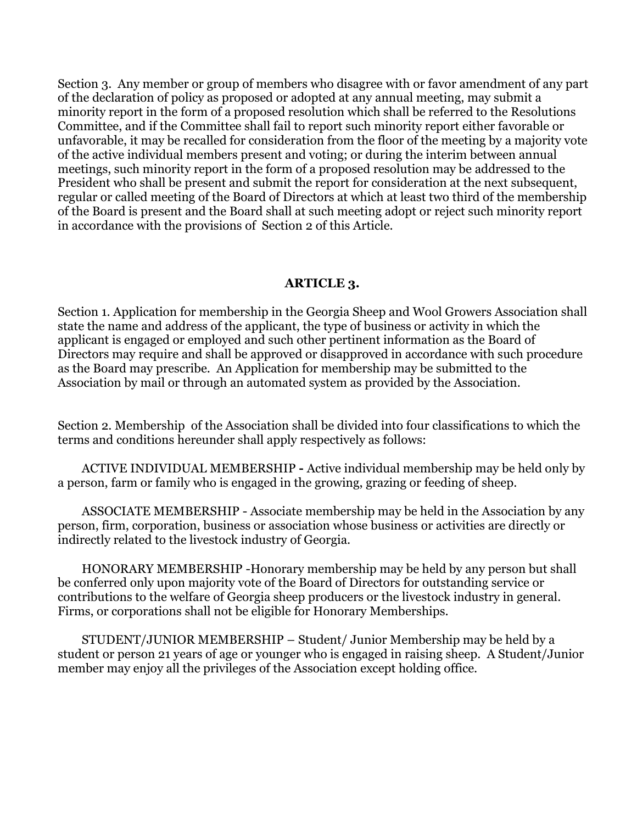Section 3. Any member or group of members who disagree with or favor amendment of any part of the declaration of policy as proposed or adopted at any annual meeting, may submit a minority report in the form of a proposed resolution which shall be referred to the Resolutions Committee, and if the Committee shall fail to report such minority report either favorable or unfavorable, it may be recalled for consideration from the floor of the meeting by a majority vote of the active individual members present and voting; or during the interim between annual meetings, such minority report in the form of a proposed resolution may be addressed to the President who shall be present and submit the report for consideration at the next subsequent, regular or called meeting of the Board of Directors at which at least two third of the membership of the Board is present and the Board shall at such meeting adopt or reject such minority report in accordance with the provisions of Section 2 of this Article.

### **ARTICLE 3.**

Section 1. Application for membership in the Georgia Sheep and Wool Growers Association shall state the name and address of the applicant, the type of business or activity in which the applicant is engaged or employed and such other pertinent information as the Board of Directors may require and shall be approved or disapproved in accordance with such procedure as the Board may prescribe. An Application for membership may be submitted to the Association by mail or through an automated system as provided by the Association.

Section 2. Membership of the Association shall be divided into four classifications to which the terms and conditions hereunder shall apply respectively as follows:

 ACTIVE INDIVIDUAL MEMBERSHIP **-** Active individual membership may be held only by a person, farm or family who is engaged in the growing, grazing or feeding of sheep.

 ASSOCIATE MEMBERSHIP - Associate membership may be held in the Association by any person, firm, corporation, business or association whose business or activities are directly or indirectly related to the livestock industry of Georgia.

 HONORARY MEMBERSHIP -Honorary membership may be held by any person but shall be conferred only upon majority vote of the Board of Directors for outstanding service or contributions to the welfare of Georgia sheep producers or the livestock industry in general. Firms, or corporations shall not be eligible for Honorary Memberships.

 STUDENT/JUNIOR MEMBERSHIP – Student/ Junior Membership may be held by a student or person 21 years of age or younger who is engaged in raising sheep. A Student/Junior member may enjoy all the privileges of the Association except holding office.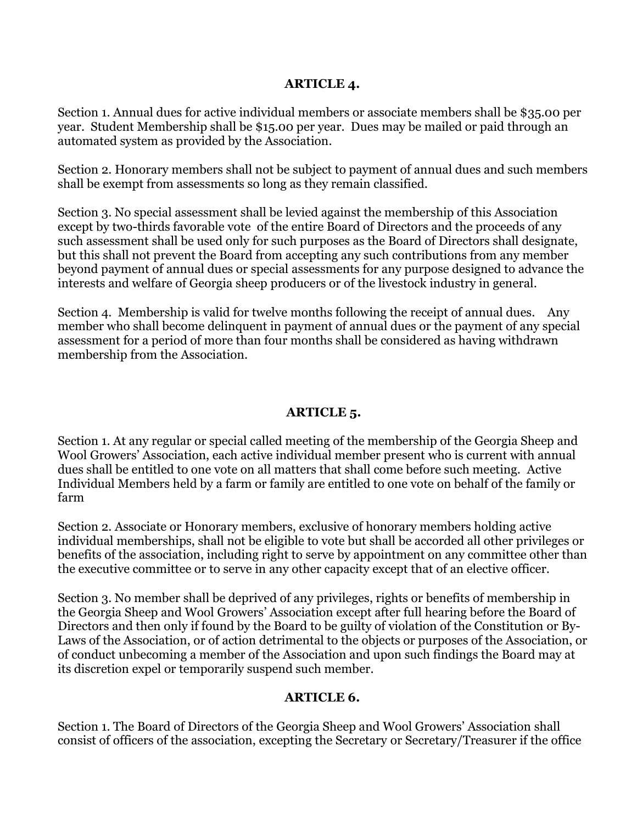## **ARTICLE 4.**

Section 1. Annual dues for active individual members or associate members shall be \$35.00 per year. Student Membership shall be \$15.00 per year. Dues may be mailed or paid through an automated system as provided by the Association.

Section 2. Honorary members shall not be subject to payment of annual dues and such members shall be exempt from assessments so long as they remain classified.

Section 3. No special assessment shall be levied against the membership of this Association except by two-thirds favorable vote of the entire Board of Directors and the proceeds of any such assessment shall be used only for such purposes as the Board of Directors shall designate, but this shall not prevent the Board from accepting any such contributions from any member beyond payment of annual dues or special assessments for any purpose designed to advance the interests and welfare of Georgia sheep producers or of the livestock industry in general.

Section 4. Membership is valid for twelve months following the receipt of annual dues. Any member who shall become delinquent in payment of annual dues or the payment of any special assessment for a period of more than four months shall be considered as having withdrawn membership from the Association.

# **ARTICLE 5.**

Section 1. At any regular or special called meeting of the membership of the Georgia Sheep and Wool Growers' Association, each active individual member present who is current with annual dues shall be entitled to one vote on all matters that shall come before such meeting. Active Individual Members held by a farm or family are entitled to one vote on behalf of the family or farm

Section 2. Associate or Honorary members, exclusive of honorary members holding active individual memberships, shall not be eligible to vote but shall be accorded all other privileges or benefits of the association, including right to serve by appointment on any committee other than the executive committee or to serve in any other capacity except that of an elective officer.

Section 3. No member shall be deprived of any privileges, rights or benefits of membership in the Georgia Sheep and Wool Growers' Association except after full hearing before the Board of Directors and then only if found by the Board to be guilty of violation of the Constitution or By-Laws of the Association, or of action detrimental to the objects or purposes of the Association, or of conduct unbecoming a member of the Association and upon such findings the Board may at its discretion expel or temporarily suspend such member.

# **ARTICLE 6.**

Section 1. The Board of Directors of the Georgia Sheep and Wool Growers' Association shall consist of officers of the association, excepting the Secretary or Secretary/Treasurer if the office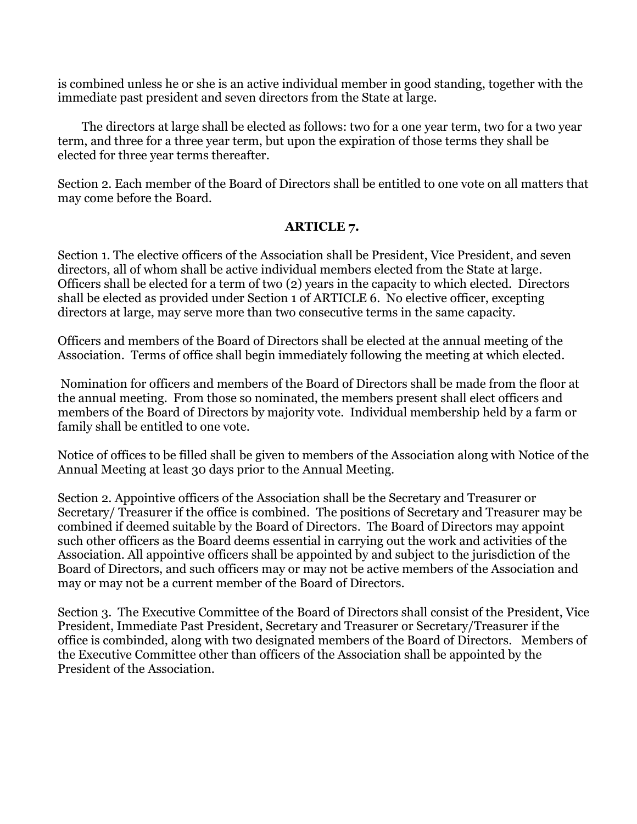is combined unless he or she is an active individual member in good standing, together with the immediate past president and seven directors from the State at large.

 The directors at large shall be elected as follows: two for a one year term, two for a two year term, and three for a three year term, but upon the expiration of those terms they shall be elected for three year terms thereafter.

Section 2. Each member of the Board of Directors shall be entitled to one vote on all matters that may come before the Board.

# **ARTICLE 7.**

Section 1. The elective officers of the Association shall be President, Vice President, and seven directors, all of whom shall be active individual members elected from the State at large. Officers shall be elected for a term of two (2) years in the capacity to which elected. Directors shall be elected as provided under Section 1 of ARTICLE 6. No elective officer, excepting directors at large, may serve more than two consecutive terms in the same capacity.

Officers and members of the Board of Directors shall be elected at the annual meeting of the Association. Terms of office shall begin immediately following the meeting at which elected.

Nomination for officers and members of the Board of Directors shall be made from the floor at the annual meeting. From those so nominated, the members present shall elect officers and members of the Board of Directors by majority vote. Individual membership held by a farm or family shall be entitled to one vote.

Notice of offices to be filled shall be given to members of the Association along with Notice of the Annual Meeting at least 30 days prior to the Annual Meeting.

Section 2. Appointive officers of the Association shall be the Secretary and Treasurer or Secretary/ Treasurer if the office is combined. The positions of Secretary and Treasurer may be combined if deemed suitable by the Board of Directors. The Board of Directors may appoint such other officers as the Board deems essential in carrying out the work and activities of the Association. All appointive officers shall be appointed by and subject to the jurisdiction of the Board of Directors, and such officers may or may not be active members of the Association and may or may not be a current member of the Board of Directors.

Section 3. The Executive Committee of the Board of Directors shall consist of the President, Vice President, Immediate Past President, Secretary and Treasurer or Secretary/Treasurer if the office is combinded, along with two designated members of the Board of Directors. Members of the Executive Committee other than officers of the Association shall be appointed by the President of the Association.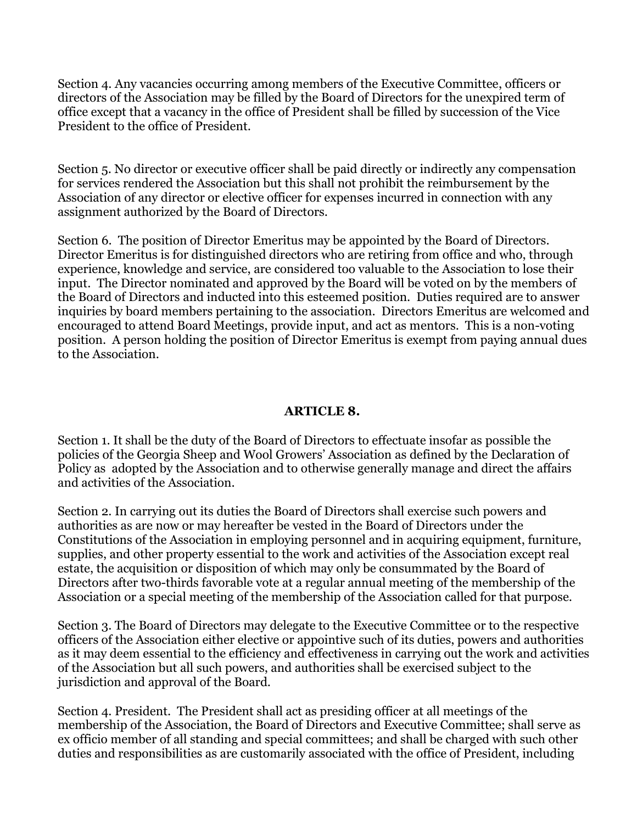Section 4. Any vacancies occurring among members of the Executive Committee, officers or directors of the Association may be filled by the Board of Directors for the unexpired term of office except that a vacancy in the office of President shall be filled by succession of the Vice President to the office of President.

Section 5. No director or executive officer shall be paid directly or indirectly any compensation for services rendered the Association but this shall not prohibit the reimbursement by the Association of any director or elective officer for expenses incurred in connection with any assignment authorized by the Board of Directors.

Section 6. The position of Director Emeritus may be appointed by the Board of Directors. Director Emeritus is for distinguished directors who are retiring from office and who, through experience, knowledge and service, are considered too valuable to the Association to lose their input. The Director nominated and approved by the Board will be voted on by the members of the Board of Directors and inducted into this esteemed position. Duties required are to answer inquiries by board members pertaining to the association. Directors Emeritus are welcomed and encouraged to attend Board Meetings, provide input, and act as mentors. This is a non-voting position. A person holding the position of Director Emeritus is exempt from paying annual dues to the Association.

## **ARTICLE 8.**

Section 1. It shall be the duty of the Board of Directors to effectuate insofar as possible the policies of the Georgia Sheep and Wool Growers' Association as defined by the Declaration of Policy as adopted by the Association and to otherwise generally manage and direct the affairs and activities of the Association.

Section 2. In carrying out its duties the Board of Directors shall exercise such powers and authorities as are now or may hereafter be vested in the Board of Directors under the Constitutions of the Association in employing personnel and in acquiring equipment, furniture, supplies, and other property essential to the work and activities of the Association except real estate, the acquisition or disposition of which may only be consummated by the Board of Directors after two-thirds favorable vote at a regular annual meeting of the membership of the Association or a special meeting of the membership of the Association called for that purpose.

Section 3. The Board of Directors may delegate to the Executive Committee or to the respective officers of the Association either elective or appointive such of its duties, powers and authorities as it may deem essential to the efficiency and effectiveness in carrying out the work and activities of the Association but all such powers, and authorities shall be exercised subject to the jurisdiction and approval of the Board.

Section 4. President. The President shall act as presiding officer at all meetings of the membership of the Association, the Board of Directors and Executive Committee; shall serve as ex officio member of all standing and special committees; and shall be charged with such other duties and responsibilities as are customarily associated with the office of President, including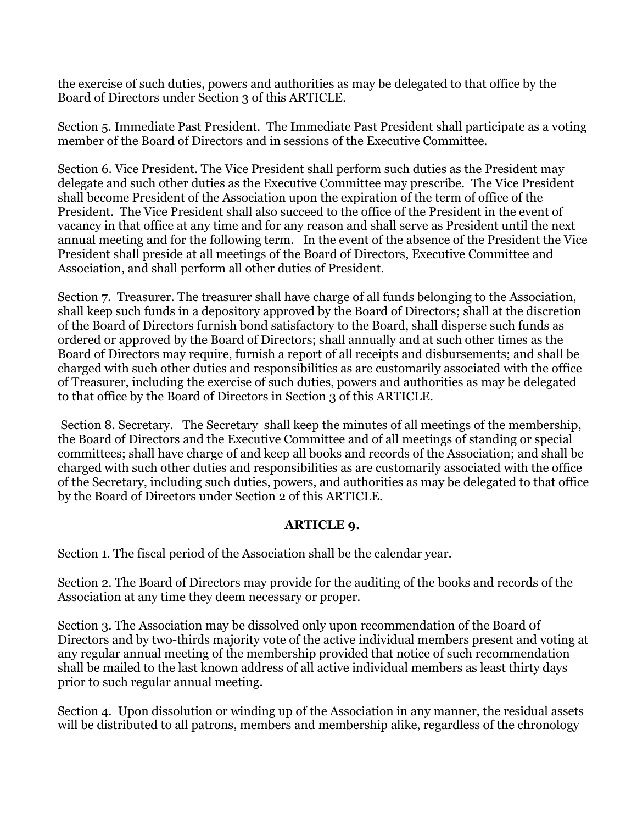the exercise of such duties, powers and authorities as may be delegated to that office by the Board of Directors under Section 3 of this ARTICLE.

Section 5. Immediate Past President. The Immediate Past President shall participate as a voting member of the Board of Directors and in sessions of the Executive Committee.

Section 6. Vice President. The Vice President shall perform such duties as the President may delegate and such other duties as the Executive Committee may prescribe. The Vice President shall become President of the Association upon the expiration of the term of office of the President. The Vice President shall also succeed to the office of the President in the event of vacancy in that office at any time and for any reason and shall serve as President until the next annual meeting and for the following term. In the event of the absence of the President the Vice President shall preside at all meetings of the Board of Directors, Executive Committee and Association, and shall perform all other duties of President.

Section 7. Treasurer. The treasurer shall have charge of all funds belonging to the Association, shall keep such funds in a depository approved by the Board of Directors; shall at the discretion of the Board of Directors furnish bond satisfactory to the Board, shall disperse such funds as ordered or approved by the Board of Directors; shall annually and at such other times as the Board of Directors may require, furnish a report of all receipts and disbursements; and shall be charged with such other duties and responsibilities as are customarily associated with the office of Treasurer, including the exercise of such duties, powers and authorities as may be delegated to that office by the Board of Directors in Section 3 of this ARTICLE.

Section 8. Secretary. The Secretary shall keep the minutes of all meetings of the membership, the Board of Directors and the Executive Committee and of all meetings of standing or special committees; shall have charge of and keep all books and records of the Association; and shall be charged with such other duties and responsibilities as are customarily associated with the office of the Secretary, including such duties, powers, and authorities as may be delegated to that office by the Board of Directors under Section 2 of this ARTICLE.

# **ARTICLE 9.**

Section 1. The fiscal period of the Association shall be the calendar year.

Section 2. The Board of Directors may provide for the auditing of the books and records of the Association at any time they deem necessary or proper.

Section 3. The Association may be dissolved only upon recommendation of the Board 0f Directors and by two-thirds majority vote of the active individual members present and voting at any regular annual meeting of the membership provided that notice of such recommendation shall be mailed to the last known address of all active individual members as least thirty days prior to such regular annual meeting.

Section 4. Upon dissolution or winding up of the Association in any manner, the residual assets will be distributed to all patrons, members and membership alike, regardless of the chronology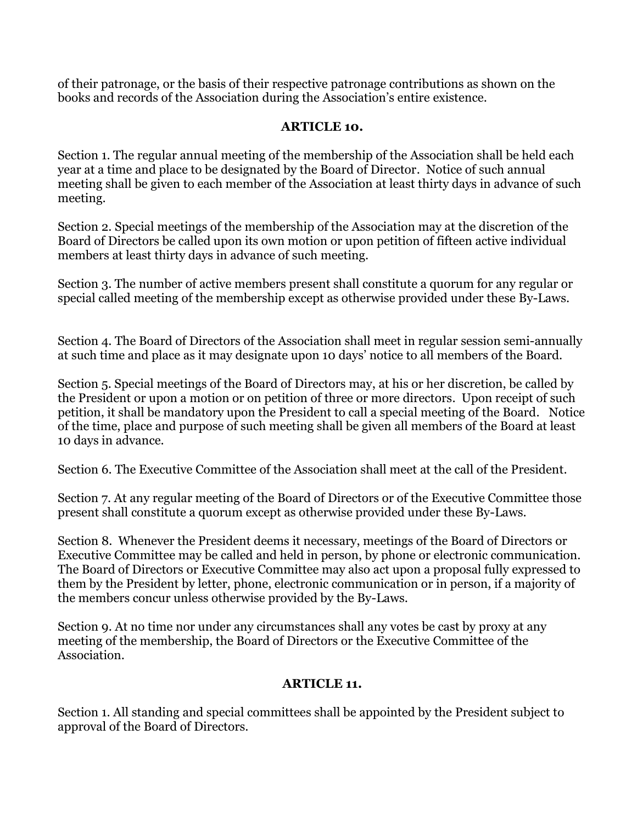of their patronage, or the basis of their respective patronage contributions as shown on the books and records of the Association during the Association's entire existence.

# **ARTICLE 10.**

Section 1. The regular annual meeting of the membership of the Association shall be held each year at a time and place to be designated by the Board of Director. Notice of such annual meeting shall be given to each member of the Association at least thirty days in advance of such meeting.

Section 2. Special meetings of the membership of the Association may at the discretion of the Board of Directors be called upon its own motion or upon petition of fifteen active individual members at least thirty days in advance of such meeting.

Section 3. The number of active members present shall constitute a quorum for any regular or special called meeting of the membership except as otherwise provided under these By-Laws.

Section 4. The Board of Directors of the Association shall meet in regular session semi-annually at such time and place as it may designate upon 10 days' notice to all members of the Board.

Section 5. Special meetings of the Board of Directors may, at his or her discretion, be called by the President or upon a motion or on petition of three or more directors. Upon receipt of such petition, it shall be mandatory upon the President to call a special meeting of the Board. Notice of the time, place and purpose of such meeting shall be given all members of the Board at least 10 days in advance.

Section 6. The Executive Committee of the Association shall meet at the call of the President.

Section 7. At any regular meeting of the Board of Directors or of the Executive Committee those present shall constitute a quorum except as otherwise provided under these By-Laws.

Section 8. Whenever the President deems it necessary, meetings of the Board of Directors or Executive Committee may be called and held in person, by phone or electronic communication. The Board of Directors or Executive Committee may also act upon a proposal fully expressed to them by the President by letter, phone, electronic communication or in person, if a majority of the members concur unless otherwise provided by the By-Laws.

Section 9. At no time nor under any circumstances shall any votes be cast by proxy at any meeting of the membership, the Board of Directors or the Executive Committee of the Association.

# **ARTICLE 11.**

Section 1. All standing and special committees shall be appointed by the President subject to approval of the Board of Directors.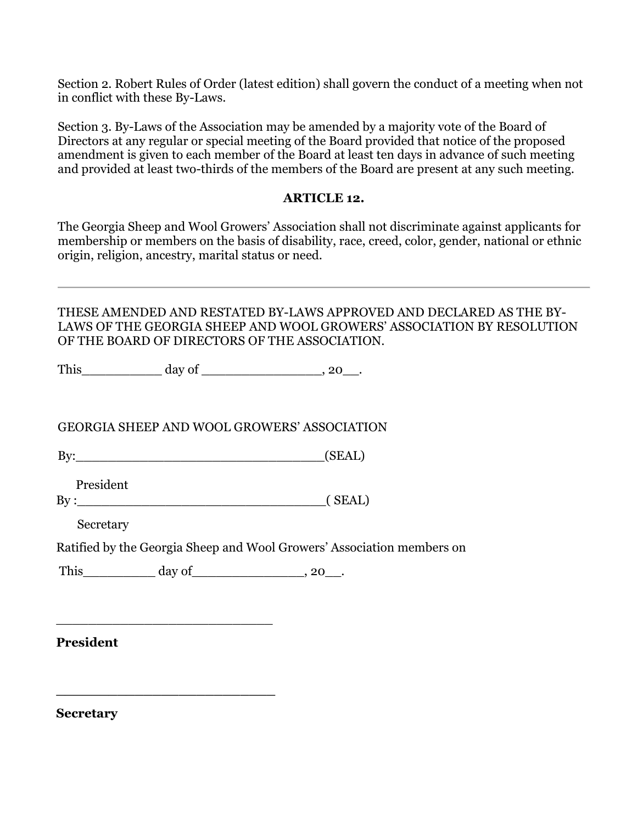Section 2. Robert Rules of Order (latest edition) shall govern the conduct of a meeting when not in conflict with these By-Laws.

Section 3. By-Laws of the Association may be amended by a majority vote of the Board of Directors at any regular or special meeting of the Board provided that notice of the proposed amendment is given to each member of the Board at least ten days in advance of such meeting and provided at least two-thirds of the members of the Board are present at any such meeting.

### **ARTICLE 12.**

The Georgia Sheep and Wool Growers' Association shall not discriminate against applicants for membership or members on the basis of disability, race, creed, color, gender, national or ethnic origin, religion, ancestry, marital status or need.

## THESE AMENDED AND RESTATED BY-LAWS APPROVED AND DECLARED AS THE BY-LAWS OF THE GEORGIA SHEEP AND WOOL GROWERS' ASSOCIATION BY RESOLUTION OF THE BOARD OF DIRECTORS OF THE ASSOCIATION.

This day of the set of the set of  $\sim$  20.

GEORGIA SHEEP AND WOOL GROWERS' ASSOCIATION

 $By:$  (SEAL)

President

\_\_\_\_\_\_\_\_\_\_\_\_\_\_\_\_\_\_\_\_\_\_\_\_\_\_\_

**\_\_\_\_\_\_\_\_\_\_\_\_\_\_\_\_\_\_\_\_\_\_\_\_\_**

 $\text{By :}\qquad \qquad \qquad \qquad \text{(SEAL)}$ 

Secretary

Ratified by the Georgia Sheep and Wool Growers' Association members on

This \_\_\_\_\_\_\_\_\_\_\_ day of \_\_\_\_\_\_\_\_\_\_\_\_\_\_\_, 20\_\_.

**President**

**Secretary**